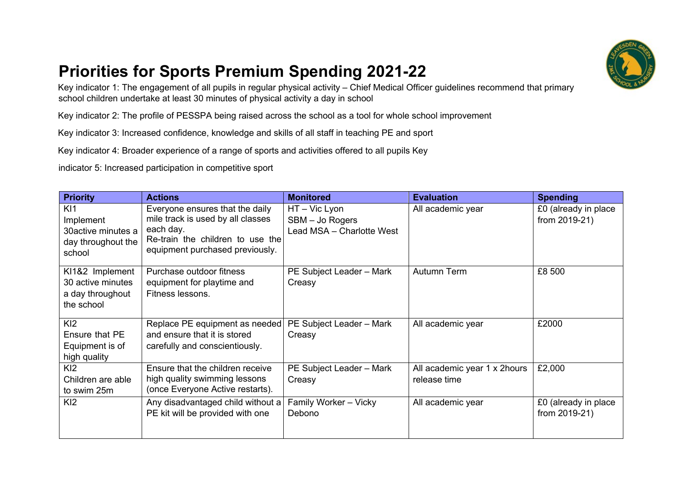

## **Priorities for Sports Premium Spending 2021-22**

Key indicator 1: The engagement of all pupils in regular physical activity – Chief Medical Officer guidelines recommend that primary school children undertake at least 30 minutes of physical activity a day in school

Key indicator 2: The profile of PESSPA being raised across the school as a tool for whole school improvement

Key indicator 3: Increased confidence, knowledge and skills of all staff in teaching PE and sport

Key indicator 4: Broader experience of a range of sports and activities offered to all pupils Key

indicator 5: Increased participation in competitive sport

| <b>Priority</b>                                                        | <b>Actions</b>                                                                                                                                           | <b>Monitored</b>                                            | <b>Evaluation</b>                            | <b>Spending</b>                       |
|------------------------------------------------------------------------|----------------------------------------------------------------------------------------------------------------------------------------------------------|-------------------------------------------------------------|----------------------------------------------|---------------------------------------|
| KI1<br>Implement<br>30active minutes a<br>day throughout the<br>school | Everyone ensures that the daily<br>mile track is used by all classes<br>each day.<br>Re-train the children to use the<br>equipment purchased previously. | HT-Vic Lyon<br>SBM - Jo Rogers<br>Lead MSA - Charlotte West | All academic year                            | £0 (already in place<br>from 2019-21) |
| KI1&2 Implement<br>30 active minutes<br>a day throughout<br>the school | Purchase outdoor fitness<br>equipment for playtime and<br>Fitness lessons.                                                                               | PE Subject Leader - Mark<br>Creasy                          | Autumn Term                                  | £8 500                                |
| K <sub>12</sub><br>Ensure that PE<br>Equipment is of<br>high quality   | Replace PE equipment as needed<br>and ensure that it is stored<br>carefully and conscientiously.                                                         | PE Subject Leader - Mark<br>Creasy                          | All academic year                            | £2000                                 |
| K <sub>12</sub><br>Children are able<br>to swim 25m                    | Ensure that the children receive<br>high quality swimming lessons<br>(once Everyone Active restarts).                                                    | PE Subject Leader - Mark<br>Creasy                          | All academic year 1 x 2hours<br>release time | £2,000                                |
| K <sub>12</sub>                                                        | Any disadvantaged child without a<br>PE kit will be provided with one                                                                                    | Family Worker - Vicky<br>Debono                             | All academic year                            | £0 (already in place<br>from 2019-21) |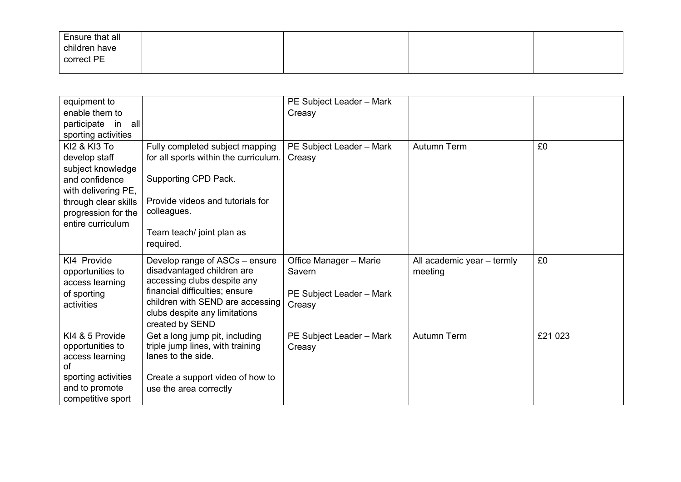| Ensure that all<br>children have<br>correct PE |  |  |
|------------------------------------------------|--|--|
|                                                |  |  |

| equipment to            |                                                        | PE Subject Leader - Mark |                            |         |
|-------------------------|--------------------------------------------------------|--------------------------|----------------------------|---------|
| enable them to          |                                                        | Creasy                   |                            |         |
| participate in all      |                                                        |                          |                            |         |
| sporting activities     |                                                        |                          |                            |         |
| <b>KI2 &amp; KI3 To</b> | Fully completed subject mapping                        | PE Subject Leader - Mark | <b>Autumn Term</b>         | £0      |
| develop staff           | for all sports within the curriculum.                  | Creasy                   |                            |         |
| subject knowledge       |                                                        |                          |                            |         |
| and confidence          | Supporting CPD Pack.                                   |                          |                            |         |
| with delivering PE,     |                                                        |                          |                            |         |
| through clear skills    | Provide videos and tutorials for                       |                          |                            |         |
| progression for the     | colleagues.                                            |                          |                            |         |
| entire curriculum       |                                                        |                          |                            |         |
|                         | Team teach/ joint plan as                              |                          |                            |         |
|                         | required.                                              |                          |                            |         |
| KI4 Provide             | Develop range of ASCs - ensure                         | Office Manager - Marie   | All academic year - termly | £0      |
| opportunities to        | disadvantaged children are                             | Savern                   | meeting                    |         |
| access learning         | accessing clubs despite any                            |                          |                            |         |
| of sporting             | financial difficulties; ensure                         | PE Subject Leader - Mark |                            |         |
| activities              | children with SEND are accessing                       | Creasy                   |                            |         |
|                         | clubs despite any limitations                          |                          |                            |         |
|                         | created by SEND                                        |                          |                            |         |
| KI4 & 5 Provide         | Get a long jump pit, including                         | PE Subject Leader - Mark | Autumn Term                | £21 023 |
| opportunities to        | triple jump lines, with training<br>lanes to the side. | Creasy                   |                            |         |
| access learning<br>of   |                                                        |                          |                            |         |
| sporting activities     | Create a support video of how to                       |                          |                            |         |
| and to promote          | use the area correctly                                 |                          |                            |         |
| competitive sport       |                                                        |                          |                            |         |